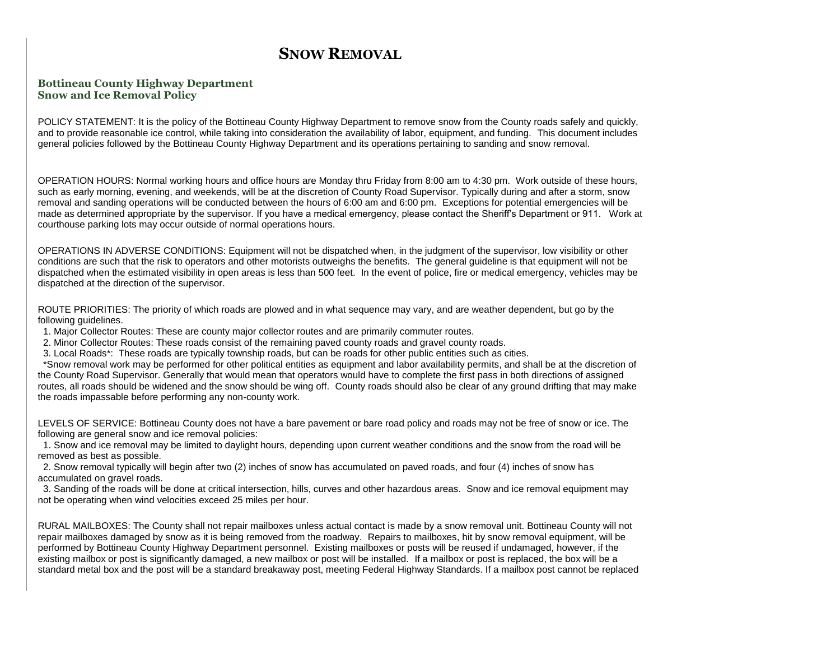## **SNOW REMOVAL**

## **Bottineau County Highway Department Snow and Ice Removal Policy**

POLICY STATEMENT: It is the policy of the Bottineau County Highway Department to remove snow from the County roads safely and quickly, and to provide reasonable ice control, while taking into consideration the availability of labor, equipment, and funding. This document includes general policies followed by the Bottineau County Highway Department and its operations pertaining to sanding and snow removal.

OPERATION HOURS: Normal working hours and office hours are Monday thru Friday from 8:00 am to 4:30 pm. Work outside of these hours, such as early morning, evening, and weekends, will be at the discretion of County Road Supervisor. Typically during and after a storm, snow removal and sanding operations will be conducted between the hours of 6:00 am and 6:00 pm. Exceptions for potential emergencies will be made as determined appropriate by the supervisor. If you have a medical emergency, please contact the Sheriff's Department or 911. Work at courthouse parking lots may occur outside of normal operations hours.

OPERATIONS IN ADVERSE CONDITIONS: Equipment will not be dispatched when, in the judgment of the supervisor, low visibility or other conditions are such that the risk to operators and other motorists outweighs the benefits. The general guideline is that equipment will not be dispatched when the estimated visibility in open areas is less than 500 feet. In the event of police, fire or medical emergency, vehicles may be dispatched at the direction of the supervisor.

ROUTE PRIORITIES: The priority of which roads are plowed and in what sequence may vary, and are weather dependent, but go by the following guidelines.

- 1. Major Collector Routes: These are county major collector routes and are primarily commuter routes.
- 2. Minor Collector Routes: These roads consist of the remaining paved county roads and gravel county roads.
- 3. Local Roads\*: These roads are typically township roads, but can be roads for other public entities such as cities.

\*Snow removal work may be performed for other political entities as equipment and labor availability permits, and shall be at the discretion of the County Road Supervisor. Generally that would mean that operators would have to complete the first pass in both directions of assigned routes, all roads should be widened and the snow should be wing off. County roads should also be clear of any ground drifting that may make the roads impassable before performing any non-county work.

LEVELS OF SERVICE: Bottineau County does not have a bare pavement or bare road policy and roads may not be free of snow or ice. The following are general snow and ice removal policies:

1. Snow and ice removal may be limited to daylight hours, depending upon current weather conditions and the snow from the road will be removed as best as possible.

2. Snow removal typically will begin after two (2) inches of snow has accumulated on paved roads, and four (4) inches of snow has accumulated on gravel roads.

3. Sanding of the roads will be done at critical intersection, hills, curves and other hazardous areas. Snow and ice removal equipment may not be operating when wind velocities exceed 25 miles per hour.

RURAL MAILBOXES: The County shall not repair mailboxes unless actual contact is made by a snow removal unit. Bottineau County will not repair mailboxes damaged by snow as it is being removed from the roadway. Repairs to mailboxes, hit by snow removal equipment, will be performed by Bottineau County Highway Department personnel. Existing mailboxes or posts will be reused if undamaged, however, if the existing mailbox or post is significantly damaged, a new mailbox or post will be installed. If a mailbox or post is replaced, the box will be a standard metal box and the post will be a standard breakaway post, meeting Federal Highway Standards. If a mailbox post cannot be replaced